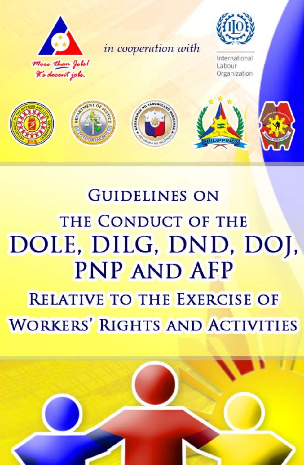

# **GUIDELINES ON** THE CONDUCT OF THE DOLE, DILG, DND, DOI, **PNP AND AFP RELATIVE TO THE EXERCISE OF WORKERS' RIGHTS AND ACTIVITIES**

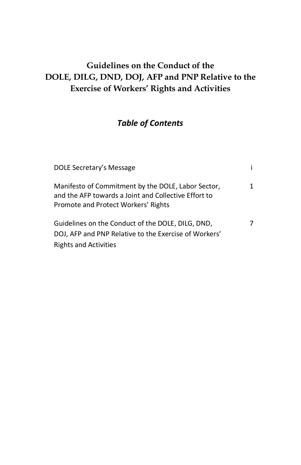# **Guidelines on the Conduct of the DOLE, DILG, DND, DOJ, AFP and PNP Relative to the Exercise of Workers' Rights and Activities**

# *Table of Contents*

| DOLE Secretary's Message                                                                                                                          |   |
|---------------------------------------------------------------------------------------------------------------------------------------------------|---|
| Manifesto of Commitment by the DOLE, Labor Sector,<br>and the AFP towards a Joint and Collective Effort to<br>Promote and Protect Workers' Rights | 1 |
| Guidelines on the Conduct of the DOLE, DILG, DND,<br>DOJ, AFP and PNP Relative to the Exercise of Workers'<br><b>Rights and Activities</b>        | 7 |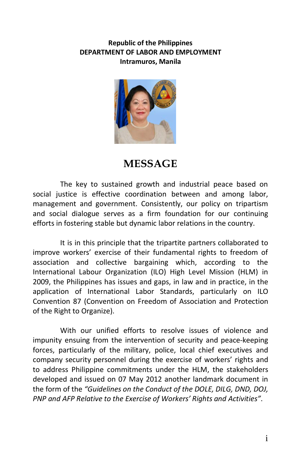#### **Republic of the Philippines DEPARTMENT OF LABOR AND EMPLOYMENT Intramuros, Manila**



# **MESSAGE**

The key to sustained growth and industrial peace based on social justice is effective coordination between and among labor, management and government. Consistently, our policy on tripartism and social dialogue serves as a firm foundation for our continuing efforts in fostering stable but dynamic labor relations in the country.

It is in this principle that the tripartite partners collaborated to improve workers' exercise of their fundamental rights to freedom of association and collective bargaining which, according to the International Labour Organization (ILO) High Level Mission (HLM) in 2009, the Philippines has issues and gaps, in law and in practice, in the application of International Labor Standards, particularly on ILO Convention 87 (Convention on Freedom of Association and Protection of the Right to Organize).

With our unified efforts to resolve issues of violence and impunity ensuing from the intervention of security and peace-keeping forces, particularly of the military, police, local chief executives and company security personnel during the exercise of workers' rights and to address Philippine commitments under the HLM, the stakeholders developed and issued on 07 May 2012 another landmark document in the form of the *"Guidelines on the Conduct of the DOLE, DILG, DND, DOJ, PNP and AFP Relative to the Exercise of Workers' Rights and Activities"*.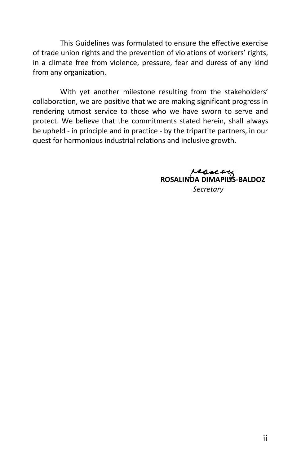This Guidelines was formulated to ensure the effective exercise of trade union rights and the prevention of violations of workers' rights, in a climate free from violence, pressure, fear and duress of any kind from any organization.

With yet another milestone resulting from the stakeholders' collaboration, we are positive that we are making significant progress in rendering utmost service to those who we have sworn to serve and protect. We believe that the commitments stated herein, shall always be upheld - in principle and in practice - by the tripartite partners, in our quest for harmonious industrial relations and inclusive growth.

> ressery  **ROSALINDA DIMAPILIS-BALDOZ**  *Secretary*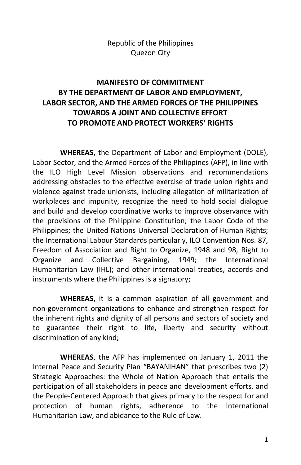Republic of the Philippines Quezon City

# **MANIFESTO OF COMMITMENT BY THE DEPARTMENT OF LABOR AND EMPLOYMENT, LABOR SECTOR, AND THE ARMED FORCES OF THE PHILIPPINES TOWARDS A JOINT AND COLLECTIVE EFFORT TO PROMOTE AND PROTECT WORKERS' RIGHTS**

**WHEREAS**, the Department of Labor and Employment (DOLE), Labor Sector, and the Armed Forces of the Philippines (AFP), in line with the ILO High Level Mission observations and recommendations addressing obstacles to the effective exercise of trade union rights and violence against trade unionists, including allegation of militarization of workplaces and impunity, recognize the need to hold social dialogue and build and develop coordinative works to improve observance with the provisions of the Philippine Constitution; the Labor Code of the Philippines; the United Nations Universal Declaration of Human Rights; the International Labour Standards particularly, ILO Convention Nos. 87, Freedom of Association and Right to Organize, 1948 and 98, Right to Organize and Collective Bargaining, 1949; the International Humanitarian Law (IHL); and other international treaties, accords and instruments where the Philippines is a signatory;

**WHEREAS**, it is a common aspiration of all government and non-government organizations to enhance and strengthen respect for the inherent rights and dignity of all persons and sectors of society and to guarantee their right to life, liberty and security without discrimination of any kind;

**WHEREAS**, the AFP has implemented on January 1, 2011 the Internal Peace and Security Plan "BAYANIHAN" that prescribes two (2) Strategic Approaches: the Whole of Nation Approach that entails the participation of all stakeholders in peace and development efforts, and the People-Centered Approach that gives primacy to the respect for and protection of human rights, adherence to the International Humanitarian Law, and abidance to the Rule of Law.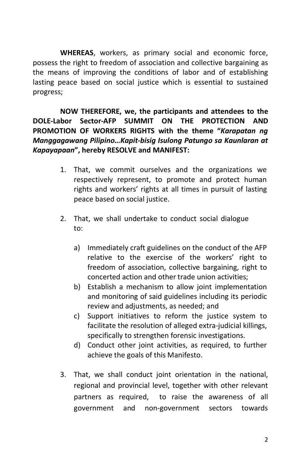**WHEREAS**, workers, as primary social and economic force, possess the right to freedom of association and collective bargaining as the means of improving the conditions of labor and of establishing lasting peace based on social justice which is essential to sustained progress;

**NOW THEREFORE, we, the participants and attendees to the DOLE-Labor Sector-AFP SUMMIT ON THE PROTECTION AND PROMOTION OF WORKERS RIGHTS with the theme "***Karapatan ng Manggagawang Pilipino…Kapit-bisig Isulong Patungo sa Kaunlaran at Kapayapaan***", hereby RESOLVE and MANIFEST:**

- 1. That, we commit ourselves and the organizations we respectively represent, to promote and protect human rights and workers' rights at all times in pursuit of lasting peace based on social justice.
- 2. That, we shall undertake to conduct social dialogue to:
	- a) Immediately craft guidelines on the conduct of the AFP relative to the exercise of the workers' right to freedom of association, collective bargaining, right to concerted action and other trade union activities;
	- b) Establish a mechanism to allow joint implementation and monitoring of said guidelines including its periodic review and adjustments, as needed; and
	- c) Support initiatives to reform the justice system to facilitate the resolution of alleged extra-judicial killings, specifically to strengthen forensic investigations.
	- d) Conduct other joint activities, as required, to further achieve the goals of this Manifesto.
- 3. That, we shall conduct joint orientation in the national, regional and provincial level, together with other relevant partners as required, to raise the awareness of all government and non-government sectors towards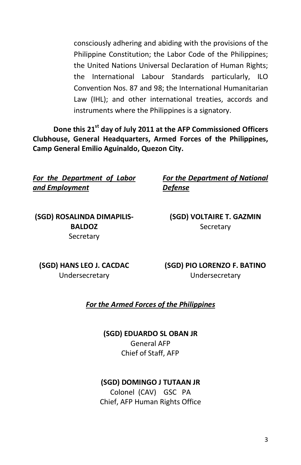consciously adhering and abiding with the provisions of the Philippine Constitution; the Labor Code of the Philippines; the United Nations Universal Declaration of Human Rights; the International Labour Standards particularly, ILO Convention Nos. 87 and 98; the International Humanitarian Law (IHL); and other international treaties, accords and instruments where the Philippines is a signatory.

**Done this 21st day of July 2011 at the AFP Commissioned Officers Clubhouse, General Headquarters, Armed Forces of the Philippines, Camp General Emilio Aguinaldo, Quezon City.** 

*For the Department of Labor and Employment*

*For the Department of National Defense*

**(SGD) ROSALINDA DIMAPILIS-BALDOZ Secretary** 

**(SGD) VOLTAIRE T. GAZMIN Secretary** 

**(SGD) HANS LEO J. CACDAC** Undersecretary

**(SGD) PIO LORENZO F. BATINO** Undersecretary

#### *For the Armed Forces of the Philippines*

**(SGD) EDUARDO SL OBAN JR** General AFP Chief of Staff, AFP

#### **(SGD) DOMINGO J TUTAAN JR**

Colonel (CAV) GSC PA Chief, AFP Human Rights Office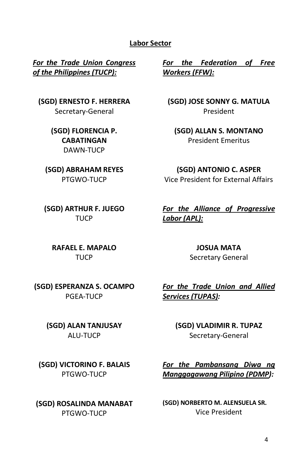#### **Labor Sector**

*For the Trade Union Congress of the Philippines (TUCP):*

**(SGD) ERNESTO F. HERRERA** Secretary-General

> **(SGD) FLORENCIA P. CABATINGAN** DAWN-TUCP

**(SGD) ABRAHAM REYES** PTGWO-TUCP

**(SGD) ARTHUR F. JUEGO TUCP** 

**RAFAEL E. MAPALO TUCP** 

*For the Federation of Free Workers (FFW):*

**(SGD) JOSE SONNY G. MATULA** President

**(SGD) ALLAN S. MONTANO** President Emeritus

**(SGD) ANTONIO C. ASPER** Vice President for External Affairs

*For the Alliance of Progressive Labor (APL):*

> **JOSUA MATA** Secretary General

**(SGD) ESPERANZA S. OCAMPO** PGEA-TUCP

> **(SGD) ALAN TANJUSAY** ALU-TUCP

**(SGD) VICTORINO F. BALAIS** PTGWO-TUCP

**(SGD) ROSALINDA MANABAT** PTGWO-TUCP

*For the Trade Union and Allied Services (TUPAS):*

> **(SGD) VLADIMIR R. TUPAZ** Secretary-General

*For the Pambansang Diwa ng Manggagawang Pilipino (PDMP):*

**(SGD) NORBERTO M. ALENSUELA SR.** Vice President

4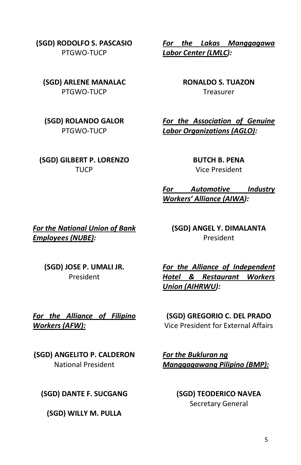**(SGD) RODOLFO S. PASCASIO** PTGWO-TUCP

**(SGD) ARLENE MANALAC** PTGWO-TUCP

**(SGD) ROLANDO GALOR** PTGWO-TUCP

**(SGD) GILBERT P. LORENZO TUCP** 

*For the Lakas Manggagawa Labor Center (LMLC):*

> **RONALDO S. TUAZON** Treasurer

*For the Association of Genuine Labor Organizations (AGLO):*

> **BUTCH B. PENA** Vice President

*For Automotive Industry Workers' Alliance (AIWA):*

*For the National Union of Bank Employees (NUBE):*

**(SGD) ANGEL Y. DIMALANTA** President

**(SGD) JOSE P. UMALI JR.** President

*For the Alliance of Independent Hotel & Restaurant Workers Union (AIHRWU):*

*For the Alliance of Filipino Workers (AFW):*

**(SGD) ANGELITO P. CALDERON** National President

**(SGD) DANTE F. SUCGANG**

**(SGD) WILLY M. PULLA**

**(SGD) GREGORIO C. DEL PRADO** Vice President for External Affairs

*For the Bukluran ng Manggagawang Pilipino (BMP):*

> **(SGD) TEODERICO NAVEA** Secretary General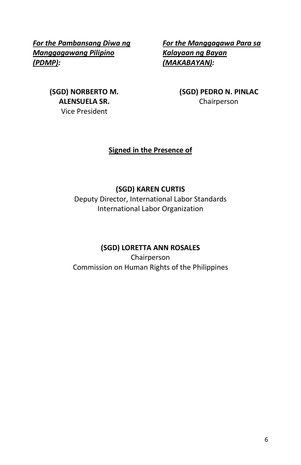*For the Pambansang Diwa ng Manggagawang Pilipino (PDMP):*

*For the Manggagawa Para sa Kalayaan ng Bayan (MAKABAYAN):*

**(SGD) NORBERTO M. ALENSUELA SR.** Vice President

**(SGD) PEDRO N. PINLAC** Chairperson

#### **Signed in the Presence of**

#### **(SGD) KAREN CURTIS**

Deputy Director, International Labor Standards International Labor Organization

### **(SGD) LORETTA ANN ROSALES**

Chairperson Commission on Human Rights of the Philippines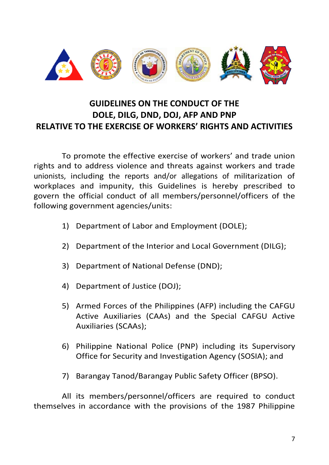

# **GUIDELINES ON THE CONDUCT OF THE DOLE, DILG, DND, DOJ, AFP AND PNP RELATIVE TO THE EXERCISE OF WORKERS' RIGHTS AND ACTIVITIES**

To promote the effective exercise of workers' and trade union rights and to address violence and threats against workers and trade unionists, including the reports and/or allegations of militarization of workplaces and impunity, this Guidelines is hereby prescribed to govern the official conduct of all members/personnel/officers of the following government agencies/units:

- 1) Department of Labor and Employment (DOLE);
- 2) Department of the Interior and Local Government (DILG);
- 3) Department of National Defense (DND);
- 4) Department of Justice (DOJ);
- 5) Armed Forces of the Philippines (AFP) including the CAFGU Active Auxiliaries (CAAs) and the Special CAFGU Active Auxiliaries (SCAAs);
- 6) Philippine National Police (PNP) including its Supervisory Office for Security and Investigation Agency (SOSIA); and
- 7) Barangay Tanod/Barangay Public Safety Officer (BPSO).

All its members/personnel/officers are required to conduct themselves in accordance with the provisions of the 1987 Philippine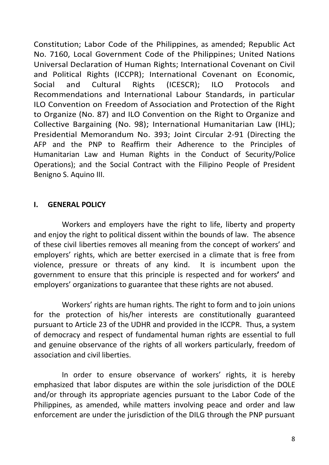Constitution; Labor Code of the Philippines, as amended; Republic Act No. 7160, Local Government Code of the Philippines; United Nations Universal Declaration of Human Rights; International Covenant on Civil and Political Rights (ICCPR); International Covenant on Economic, Social and Cultural Rights (ICESCR); ILO Protocols and Recommendations and International Labour Standards, in particular ILO Convention on Freedom of Association and Protection of the Right to Organize (No. 87) and ILO Convention on the Right to Organize and Collective Bargaining (No. 98); International Humanitarian Law (IHL); Presidential Memorandum No. 393; Joint Circular 2-91 (Directing the AFP and the PNP to Reaffirm their Adherence to the Principles of Humanitarian Law and Human Rights in the Conduct of Security/Police Operations); and the Social Contract with the Filipino People of President Benigno S. Aquino III.

#### **I. GENERAL POLICY**

Workers and employers have the right to life, liberty and property and enjoy the right to political dissent within the bounds of law. The absence of these civil liberties removes all meaning from the concept of workers' and employers' rights, which are better exercised in a climate that is free from violence, pressure or threats of any kind. It is incumbent upon the government to ensure that this principle is respected and for workers**'** and employers' organizations to guarantee that these rights are not abused.

Workers' rights are human rights. The right to form and to join unions for the protection of his/her interests are constitutionally guaranteed pursuant to Article 23 of the UDHR and provided in the ICCPR. Thus, a system of democracy and respect of fundamental human rights are essential to full and genuine observance of the rights of all workers particularly, freedom of association and civil liberties.

In order to ensure observance of workers' rights, it is hereby emphasized that labor disputes are within the sole jurisdiction of the DOLE and/or through its appropriate agencies pursuant to the Labor Code of the Philippines, as amended, while matters involving peace and order and law enforcement are under the jurisdiction of the DILG through the PNP pursuant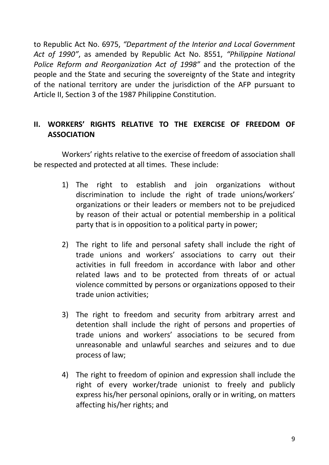to Republic Act No. 6975, *"Department of the Interior and Local Government Act of 1990"*, as amended by Republic Act No. 8551, *"Philippine National Police Reform and Reorganization Act of 1998"* and the protection of the people and the State and securing the sovereignty of the State and integrity of the national territory are under the jurisdiction of the AFP pursuant to Article II, Section 3 of the 1987 Philippine Constitution.

## **II. WORKERS' RIGHTS RELATIVE TO THE EXERCISE OF FREEDOM OF ASSOCIATION**

Workers' rights relative to the exercise of freedom of association shall be respected and protected at all times. These include:

- 1) The right to establish and join organizations without discrimination to include the right of trade unions/workers' organizations or their leaders or members not to be prejudiced by reason of their actual or potential membership in a political party that is in opposition to a political party in power;
- 2) The right to life and personal safety shall include the right of trade unions and workers' associations to carry out their activities in full freedom in accordance with labor and other related laws and to be protected from threats of or actual violence committed by persons or organizations opposed to their trade union activities;
- 3) The right to freedom and security from arbitrary arrest and detention shall include the right of persons and properties of trade unions and workers' associations to be secured from unreasonable and unlawful searches and seizures and to due process of law;
- 4) The right to freedom of opinion and expression shall include the right of every worker/trade unionist to freely and publicly express his/her personal opinions, orally or in writing, on matters affecting his/her rights; and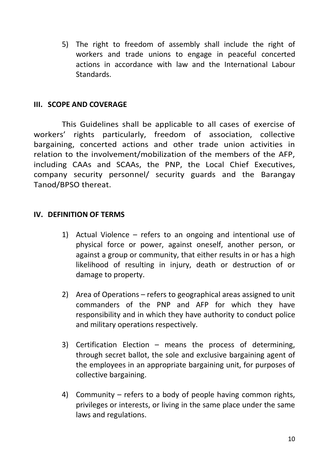5) The right to freedom of assembly shall include the right of workers and trade unions to engage in peaceful concerted actions in accordance with law and the International Labour Standards.

#### **III. SCOPE AND COVERAGE**

This Guidelines shall be applicable to all cases of exercise of workers' rights particularly, freedom of association, collective bargaining, concerted actions and other trade union activities in relation to the involvement/mobilization of the members of the AFP, including CAAs and SCAAs, the PNP, the Local Chief Executives, company security personnel/ security guards and the Barangay Tanod/BPSO thereat.

#### **IV. DEFINITION OF TERMS**

- 1) Actual Violence refers to an ongoing and intentional use of physical force or power, against oneself, another person, or against a group or community, that either results in or has a high likelihood of resulting in injury, death or destruction of or damage to property.
- 2) Area of Operations refers to geographical areas assigned to unit commanders of the PNP and AFP for which they have responsibility and in which they have authority to conduct police and military operations respectively.
- 3) Certification Election means the process of determining, through secret ballot, the sole and exclusive bargaining agent of the employees in an appropriate bargaining unit, for purposes of collective bargaining.
- 4) Community refers to a body of people having common rights, privileges or interests, or living in the same place under the same laws and regulations.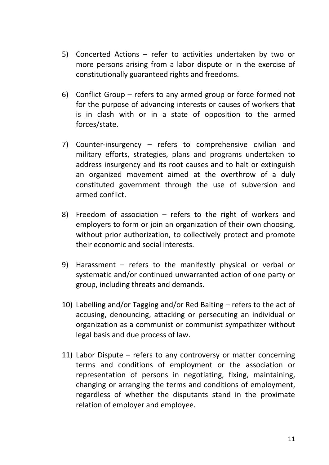- 5) Concerted Actions refer to activities undertaken by two or more persons arising from a labor dispute or in the exercise of constitutionally guaranteed rights and freedoms.
- 6) Conflict Group refers to any armed group or force formed not for the purpose of advancing interests or causes of workers that is in clash with or in a state of opposition to the armed forces/state.
- 7) Counter-insurgency refers to comprehensive civilian and military efforts, strategies, plans and programs undertaken to address insurgency and its root causes and to halt or extinguish an organized movement aimed at the overthrow of a duly constituted government through the use of subversion and armed conflict.
- 8) Freedom of association refers to the right of workers and employers to form or join an organization of their own choosing, without prior authorization, to collectively protect and promote their economic and social interests.
- 9) Harassment refers to the manifestly physical or verbal or systematic and/or continued unwarranted action of one party or group, including threats and demands.
- 10) Labelling and/or Tagging and/or Red Baiting refers to the act of accusing, denouncing, attacking or persecuting an individual or organization as a communist or communist sympathizer without legal basis and due process of law.
- 11) Labor Dispute refers to any controversy or matter concerning terms and conditions of employment or the association or representation of persons in negotiating, fixing, maintaining, changing or arranging the terms and conditions of employment, regardless of whether the disputants stand in the proximate relation of employer and employee.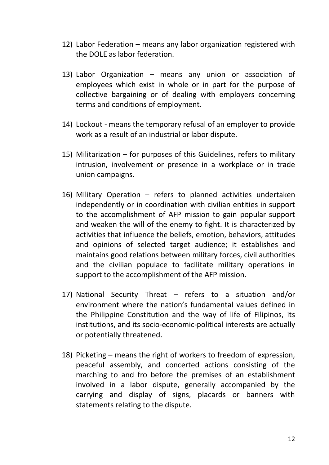- 12) Labor Federation means any labor organization registered with the DOLE as labor federation.
- 13) Labor Organization means any union or association of employees which exist in whole or in part for the purpose of collective bargaining or of dealing with employers concerning terms and conditions of employment.
- 14) Lockout means the temporary refusal of an employer to provide work as a result of an industrial or labor dispute.
- 15) Militarization for purposes of this Guidelines, refers to military intrusion, involvement or presence in a workplace or in trade union campaigns.
- 16) Military Operation refers to planned activities undertaken independently or in coordination with civilian entities in support to the accomplishment of AFP mission to gain popular support and weaken the will of the enemy to fight. It is characterized by activities that influence the beliefs, emotion, behaviors, attitudes and opinions of selected target audience; it establishes and maintains good relations between military forces, civil authorities and the civilian populace to facilitate military operations in support to the accomplishment of the AFP mission.
- 17) National Security Threat refers to a situation and/or environment where the nation's fundamental values defined in the Philippine Constitution and the way of life of Filipinos, its institutions, and its socio-economic-political interests are actually or potentially threatened.
- 18) Picketing means the right of workers to freedom of expression, peaceful assembly, and concerted actions consisting of the marching to and fro before the premises of an establishment involved in a labor dispute, generally accompanied by the carrying and display of signs, placards or banners with statements relating to the dispute.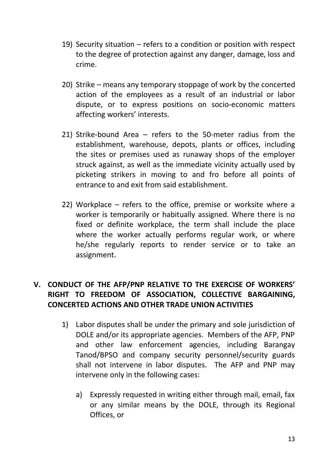- 19) Security situation refers to a condition or position with respect to the degree of protection against any danger, damage, loss and crime.
- 20) Strike means any temporary stoppage of work by the concerted action of the employees as a result of an industrial or labor dispute, or to express positions on socio-economic matters affecting workers' interests.
- 21) Strike-bound Area refers to the 50-meter radius from the establishment, warehouse, depots, plants or offices, including the sites or premises used as runaway shops of the employer struck against, as well as the immediate vicinity actually used by picketing strikers in moving to and fro before all points of entrance to and exit from said establishment.
- 22) Workplace refers to the office, premise or worksite where a worker is temporarily or habitually assigned. Where there is no fixed or definite workplace, the term shall include the place where the worker actually performs regular work, or where he/she regularly reports to render service or to take an assignment.

## **V. CONDUCT OF THE AFP/PNP RELATIVE TO THE EXERCISE OF WORKERS' RIGHT TO FREEDOM OF ASSOCIATION, COLLECTIVE BARGAINING, CONCERTED ACTIONS AND OTHER TRADE UNION ACTIVITIES**

- 1) Labor disputes shall be under the primary and sole jurisdiction of DOLE and/or its appropriate agencies. Members of the AFP, PNP and other law enforcement agencies, including Barangay Tanod/BPSO and company security personnel/security guards shall not intervene in labor disputes. The AFP and PNP may intervene only in the following cases:
	- a) Expressly requested in writing either through mail, email, fax or any similar means by the DOLE, through its Regional Offices, or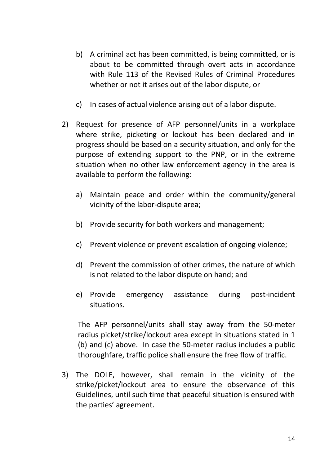- b) A criminal act has been committed, is being committed, or is about to be committed through overt acts in accordance with Rule 113 of the Revised Rules of Criminal Procedures whether or not it arises out of the labor dispute, or
- c) In cases of actual violence arising out of a labor dispute.
- 2) Request for presence of AFP personnel/units in a workplace where strike, picketing or lockout has been declared and in progress should be based on a security situation, and only for the purpose of extending support to the PNP, or in the extreme situation when no other law enforcement agency in the area is available to perform the following:
	- a) Maintain peace and order within the community/general vicinity of the labor-dispute area;
	- b) Provide security for both workers and management;
	- c) Prevent violence or prevent escalation of ongoing violence;
	- d) Prevent the commission of other crimes, the nature of which is not related to the labor dispute on hand; and
	- e) Provide emergency assistance during post-incident situations.

The AFP personnel/units shall stay away from the 50-meter radius picket/strike/lockout area except in situations stated in 1 (b) and (c) above. In case the 50-meter radius includes a public thoroughfare, traffic police shall ensure the free flow of traffic.

3) The DOLE, however, shall remain in the vicinity of the strike/picket/lockout area to ensure the observance of this Guidelines, until such time that peaceful situation is ensured with the parties' agreement.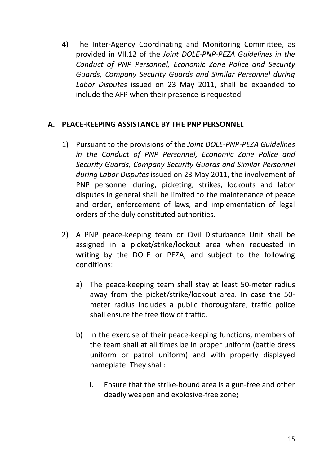4) The Inter-Agency Coordinating and Monitoring Committee, as provided in VII.12 of the *Joint DOLE-PNP-PEZA Guidelines in the Conduct of PNP Personnel, Economic Zone Police and Security Guards, Company Security Guards and Similar Personnel during Labor Disputes* issued on 23 May 2011, shall be expanded to include the AFP when their presence is requested.

#### **A. PEACE-KEEPING ASSISTANCE BY THE PNP PERSONNEL**

- 1) Pursuant to the provisions of the *Joint DOLE-PNP-PEZA Guidelines in the Conduct of PNP Personnel, Economic Zone Police and Security Guards, Company Security Guards and Similar Personnel during Labor Disputes* issued on 23 May 2011, the involvement of PNP personnel during, picketing, strikes, lockouts and labor disputes in general shall be limited to the maintenance of peace and order, enforcement of laws, and implementation of legal orders of the duly constituted authorities.
- 2) A PNP peace-keeping team or Civil Disturbance Unit shall be assigned in a picket/strike/lockout area when requested in writing by the DOLE or PEZA, and subject to the following conditions:
	- a) The peace-keeping team shall stay at least 50-meter radius away from the picket/strike/lockout area. In case the 50 meter radius includes a public thoroughfare, traffic police shall ensure the free flow of traffic.
	- b) In the exercise of their peace-keeping functions, members of the team shall at all times be in proper uniform (battle dress uniform or patrol uniform) and with properly displayed nameplate. They shall:
		- i. Ensure that the strike-bound area is a gun-free and other deadly weapon and explosive-free zone**;**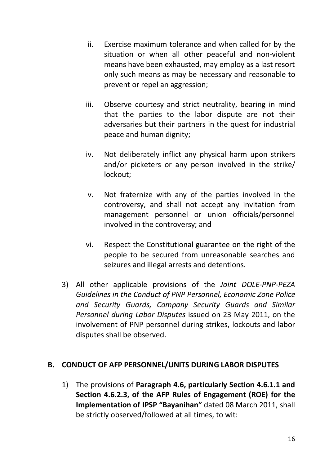- ii. Exercise maximum tolerance and when called for by the situation or when all other peaceful and non-violent means have been exhausted, may employ as a last resort only such means as may be necessary and reasonable to prevent or repel an aggression;
- iii. Observe courtesy and strict neutrality, bearing in mind that the parties to the labor dispute are not their adversaries but their partners in the quest for industrial peace and human dignity;
- iv. Not deliberately inflict any physical harm upon strikers and/or picketers or any person involved in the strike/ lockout;
- v. Not fraternize with any of the parties involved in the controversy, and shall not accept any invitation from management personnel or union officials/personnel involved in the controversy; and
- vi. Respect the Constitutional guarantee on the right of the people to be secured from unreasonable searches and seizures and illegal arrests and detentions.
- 3) All other applicable provisions of the *Joint DOLE-PNP-PEZA Guidelines in the Conduct of PNP Personnel, Economic Zone Police and Security Guards, Company Security Guards and Similar Personnel during Labor Disputes* issued on 23 May 2011, on the involvement of PNP personnel during strikes, lockouts and labor disputes shall be observed.

#### **B. CONDUCT OF AFP PERSONNEL/UNITS DURING LABOR DISPUTES**

1) The provisions of **Paragraph 4.6, particularly Section 4.6.1.1 and Section 4.6.2.3, of the AFP Rules of Engagement (ROE) for the Implementation of IPSP "Bayanihan"** dated 08 March 2011, shall be strictly observed/followed at all times, to wit: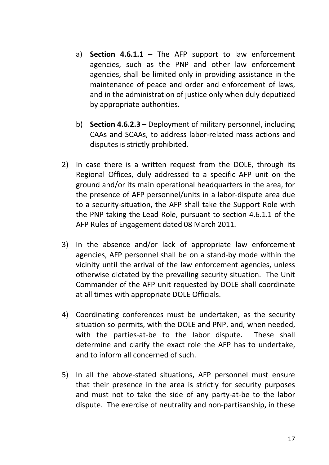- a) **Section 4.6.1.1** The AFP support to law enforcement agencies, such as the PNP and other law enforcement agencies, shall be limited only in providing assistance in the maintenance of peace and order and enforcement of laws, and in the administration of justice only when duly deputized by appropriate authorities.
- b) **Section 4.6.2.3** Deployment of military personnel, including CAAs and SCAAs, to address labor-related mass actions and disputes is strictly prohibited.
- 2) In case there is a written request from the DOLE, through its Regional Offices, duly addressed to a specific AFP unit on the ground and/or its main operational headquarters in the area, for the presence of AFP personnel/units in a labor-dispute area due to a security-situation, the AFP shall take the Support Role with the PNP taking the Lead Role, pursuant to section 4.6.1.1 of the AFP Rules of Engagement dated 08 March 2011.
- 3) In the absence and/or lack of appropriate law enforcement agencies, AFP personnel shall be on a stand-by mode within the vicinity until the arrival of the law enforcement agencies, unless otherwise dictated by the prevailing security situation. The Unit Commander of the AFP unit requested by DOLE shall coordinate at all times with appropriate DOLE Officials.
- 4) Coordinating conferences must be undertaken, as the security situation so permits, with the DOLE and PNP, and, when needed, with the parties-at-be to the labor dispute. These shall determine and clarify the exact role the AFP has to undertake, and to inform all concerned of such.
- 5) In all the above-stated situations, AFP personnel must ensure that their presence in the area is strictly for security purposes and must not to take the side of any party-at-be to the labor dispute. The exercise of neutrality and non-partisanship, in these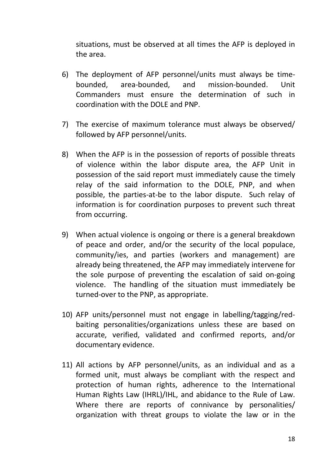situations, must be observed at all times the AFP is deployed in the area.

- 6) The deployment of AFP personnel/units must always be timebounded, area-bounded, and mission-bounded. Unit Commanders must ensure the determination of such in coordination with the DOLE and PNP.
- 7) The exercise of maximum tolerance must always be observed/ followed by AFP personnel/units.
- 8) When the AFP is in the possession of reports of possible threats of violence within the labor dispute area, the AFP Unit in possession of the said report must immediately cause the timely relay of the said information to the DOLE, PNP, and when possible, the parties-at-be to the labor dispute. Such relay of information is for coordination purposes to prevent such threat from occurring.
- 9) When actual violence is ongoing or there is a general breakdown of peace and order, and/or the security of the local populace, community/ies, and parties (workers and management) are already being threatened, the AFP may immediately intervene for the sole purpose of preventing the escalation of said on-going violence. The handling of the situation must immediately be turned-over to the PNP, as appropriate.
- 10) AFP units/personnel must not engage in labelling/tagging/redbaiting personalities/organizations unless these are based on accurate, verified, validated and confirmed reports, and/or documentary evidence.
- 11) All actions by AFP personnel/units, as an individual and as a formed unit, must always be compliant with the respect and protection of human rights, adherence to the International Human Rights Law (IHRL)/IHL, and abidance to the Rule of Law. Where there are reports of connivance by personalities/ organization with threat groups to violate the law or in the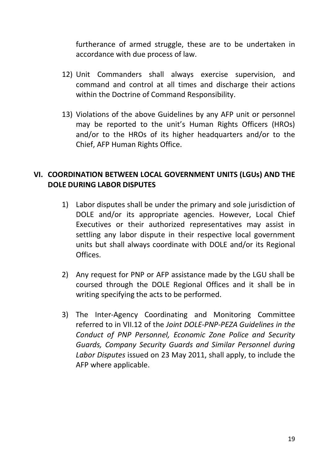furtherance of armed struggle, these are to be undertaken in accordance with due process of law.

- 12) Unit Commanders shall always exercise supervision, and command and control at all times and discharge their actions within the Doctrine of Command Responsibility.
- 13) Violations of the above Guidelines by any AFP unit or personnel may be reported to the unit's Human Rights Officers (HROs) and/or to the HROs of its higher headquarters and/or to the Chief, AFP Human Rights Office.

## **VI. COORDINATION BETWEEN LOCAL GOVERNMENT UNITS (LGUs) AND THE DOLE DURING LABOR DISPUTES**

- 1) Labor disputes shall be under the primary and sole jurisdiction of DOLE and/or its appropriate agencies. However, Local Chief Executives or their authorized representatives may assist in settling any labor dispute in their respective local government units but shall always coordinate with DOLE and/or its Regional Offices.
- 2) Any request for PNP or AFP assistance made by the LGU shall be coursed through the DOLE Regional Offices and it shall be in writing specifying the acts to be performed.
- 3) The Inter-Agency Coordinating and Monitoring Committee referred to in VII.12 of the *Joint DOLE-PNP-PEZA Guidelines in the Conduct of PNP Personnel, Economic Zone Police and Security Guards, Company Security Guards and Similar Personnel during Labor Disputes* issued on 23 May 2011, shall apply, to include the AFP where applicable.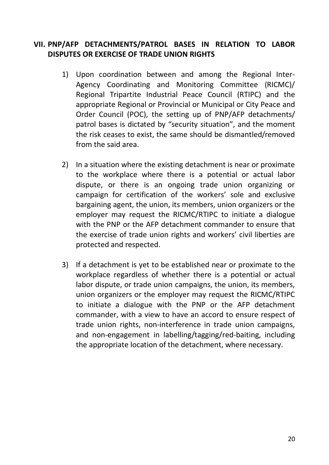### **VII. PNP/AFP DETACHMENTS/PATROL BASES IN RELATION TO LABOR DISPUTES OR EXERCISE OF TRADE UNION RIGHTS**

- 1) Upon coordination between and among the Regional Inter-Agency Coordinating and Monitoring Committee (RICMC)/ Regional Tripartite Industrial Peace Council (RTIPC) and the appropriate Regional or Provincial or Municipal or City Peace and Order Council (POC), the setting up of PNP/AFP detachments/ patrol bases is dictated by "security situation", and the moment the risk ceases to exist, the same should be dismantled/removed from the said area.
- 2) In a situation where the existing detachment is near or proximate to the workplace where there is a potential or actual labor dispute, or there is an ongoing trade union organizing or campaign for certification of the workers' sole and exclusive bargaining agent, the union, its members, union organizers or the employer may request the RICMC/RTIPC to initiate a dialogue with the PNP or the AFP detachment commander to ensure that the exercise of trade union rights and workers' civil liberties are protected and respected.
- 3) If a detachment is yet to be established near or proximate to the workplace regardless of whether there is a potential or actual labor dispute, or trade union campaigns, the union, its members, union organizers or the employer may request the RICMC/RTIPC to initiate a dialogue with the PNP or the AFP detachment commander, with a view to have an accord to ensure respect of trade union rights, non-interference in trade union campaigns, and non-engagement in labelling/tagging/red-baiting, including the appropriate location of the detachment, where necessary.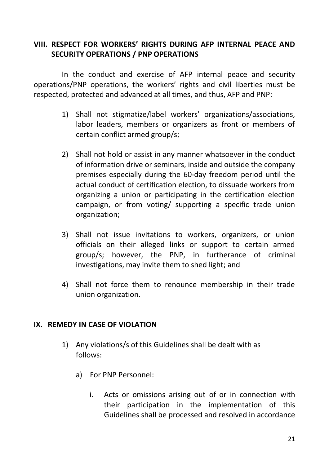### **VIII. RESPECT FOR WORKERS' RIGHTS DURING AFP INTERNAL PEACE AND SECURITY OPERATIONS / PNP OPERATIONS**

In the conduct and exercise of AFP internal peace and security operations/PNP operations, the workers' rights and civil liberties must be respected, protected and advanced at all times, and thus, AFP and PNP:

- 1) Shall not stigmatize/label workers' organizations/associations, labor leaders, members or organizers as front or members of certain conflict armed group/s;
- 2) Shall not hold or assist in any manner whatsoever in the conduct of information drive or seminars, inside and outside the company premises especially during the 60-day freedom period until the actual conduct of certification election, to dissuade workers from organizing a union or participating in the certification election campaign, or from voting/ supporting a specific trade union organization;
- 3) Shall not issue invitations to workers, organizers, or union officials on their alleged links or support to certain armed group/s; however, the PNP, in furtherance of criminal investigations, may invite them to shed light; and
- 4) Shall not force them to renounce membership in their trade union organization.

#### **IX. REMEDY IN CASE OF VIOLATION**

- 1) Any violations/s of this Guidelines shall be dealt with as follows:
	- a) For PNP Personnel:
		- i. Acts or omissions arising out of or in connection with their participation in the implementation of this Guidelines shall be processed and resolved in accordance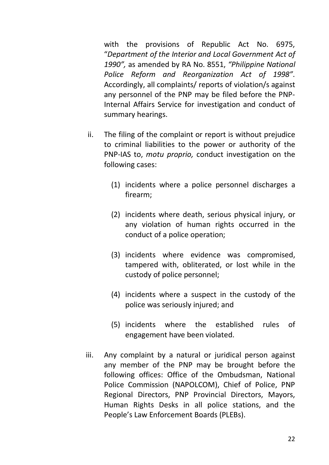with the provisions of Republic Act No. 6975, "*Department of the Interior and Local Government Act of 1990",* as amended by RA No. 8551, *"Philippine National Police Reform and Reorganization Act of 1998"*. Accordingly, all complaints/ reports of violation/s against any personnel of the PNP may be filed before the PNP-Internal Affairs Service for investigation and conduct of summary hearings.

- ii. The filing of the complaint or report is without prejudice to criminal liabilities to the power or authority of the PNP-IAS to, *motu proprio,* conduct investigation on the following cases:
	- (1) incidents where a police personnel discharges a firearm;
	- (2) incidents where death, serious physical injury, or any violation of human rights occurred in the conduct of a police operation;
	- (3) incidents where evidence was compromised, tampered with, obliterated, or lost while in the custody of police personnel;
	- (4) incidents where a suspect in the custody of the police was seriously injured; and
	- (5) incidents where the established rules of engagement have been violated.
- iii. Any complaint by a natural or juridical person against any member of the PNP may be brought before the following offices: Office of the Ombudsman, National Police Commission (NAPOLCOM), Chief of Police, PNP Regional Directors, PNP Provincial Directors, Mayors, Human Rights Desks in all police stations, and the People's Law Enforcement Boards (PLEBs).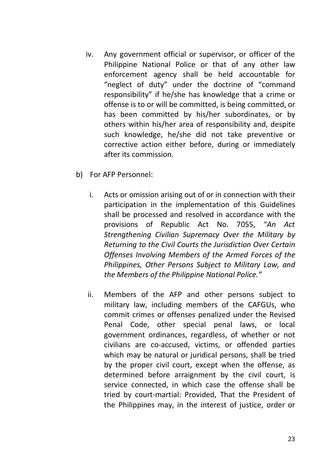- iv. Any government official or supervisor, or officer of the Philippine National Police or that of any other law enforcement agency shall be held accountable for "neglect of duty" under the doctrine of "command responsibility" if he/she has knowledge that a crime or offense is to or will be committed, is being committed, or has been committed by his/her subordinates, or by others within his/her area of responsibility and, despite such knowledge, he/she did not take preventive or corrective action either before, during or immediately after its commission.
- b) For AFP Personnel:
	- i. Acts or omission arising out of or in connection with their participation in the implementation of this Guidelines shall be processed and resolved in accordance with the provisions of Republic Act No. 7055, "*An Act Strengthening Civilian Supremacy Over the Military by Returning to the Civil Courts the Jurisdiction Over Certain Offenses Involving Members of the Armed Forces of the Philippines, Other Persons Subject to Military Law, and the Members of the Philippine National Police."*
	- ii. Members of the AFP and other persons subject to military law, including members of the CAFGUs, who commit crimes or offenses penalized under the Revised Penal Code, other special penal laws, or local government ordinances, regardless, of whether or not civilians are co-accused, victims, or offended parties which may be natural or juridical persons, shall be tried by the proper civil court, except when the offense, as determined before arraignment by the civil court, is service connected, in which case the offense shall be tried by court-martial: Provided, That the President of the Philippines may, in the interest of justice, order or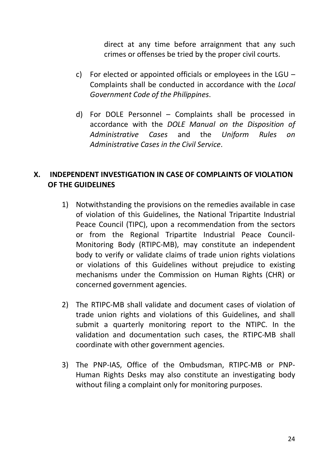direct at any time before arraignment that any such crimes or offenses be tried by the proper civil courts.

- c) For elected or appointed officials or employees in the LGU Complaints shall be conducted in accordance with the *Local Government Code of the Philippines*.
- d) For DOLE Personnel Complaints shall be processed in accordance with the *DOLE Manual on the Disposition of Administrative Cases* and the *Uniform Rules on Administrative Cases in the Civil Service*.

### **X. INDEPENDENT INVESTIGATION IN CASE OF COMPLAINTS OF VIOLATION OF THE GUIDELINES**

- 1) Notwithstanding the provisions on the remedies available in case of violation of this Guidelines, the National Tripartite Industrial Peace Council (TIPC), upon a recommendation from the sectors or from the Regional Tripartite Industrial Peace Council-Monitoring Body (RTIPC-MB), may constitute an independent body to verify or validate claims of trade union rights violations or violations of this Guidelines without prejudice to existing mechanisms under the Commission on Human Rights (CHR) or concerned government agencies.
- 2) The RTIPC-MB shall validate and document cases of violation of trade union rights and violations of this Guidelines, and shall submit a quarterly monitoring report to the NTIPC. In the validation and documentation such cases, the RTIPC-MB shall coordinate with other government agencies.
- 3) The PNP-IAS, Office of the Ombudsman, RTIPC-MB or PNP-Human Rights Desks may also constitute an investigating body without filing a complaint only for monitoring purposes.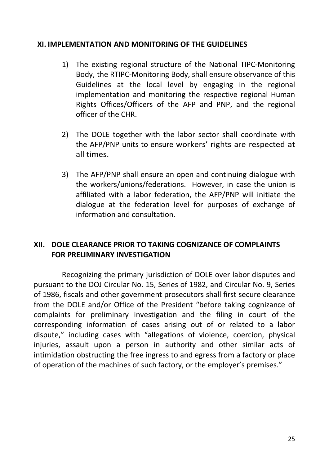#### **XI. IMPLEMENTATION AND MONITORING OF THE GUIDELINES**

- 1) The existing regional structure of the National TIPC-Monitoring Body, the RTIPC-Monitoring Body, shall ensure observance of this Guidelines at the local level by engaging in the regional implementation and monitoring the respective regional Human Rights Offices/Officers of the AFP and PNP, and the regional officer of the CHR.
- 2) The DOLE together with the labor sector shall coordinate with the AFP/PNP units to ensure workers' rights are respected at all times.
- 3) The AFP/PNP shall ensure an open and continuing dialogue with the workers/unions/federations. However, in case the union is affiliated with a labor federation, the AFP/PNP will initiate the dialogue at the federation level for purposes of exchange of information and consultation.

### **XII. DOLE CLEARANCE PRIOR TO TAKING COGNIZANCE OF COMPLAINTS FOR PRELIMINARY INVESTIGATION**

Recognizing the primary jurisdiction of DOLE over labor disputes and pursuant to the DOJ Circular No. 15, Series of 1982, and Circular No. 9, Series of 1986, fiscals and other government prosecutors shall first secure clearance from the DOLE and/or Office of the President "before taking cognizance of complaints for preliminary investigation and the filing in court of the corresponding information of cases arising out of or related to a labor dispute," including cases with "allegations of violence, coercion, physical injuries, assault upon a person in authority and other similar acts of intimidation obstructing the free ingress to and egress from a factory or place of operation of the machines of such factory, or the employer's premises."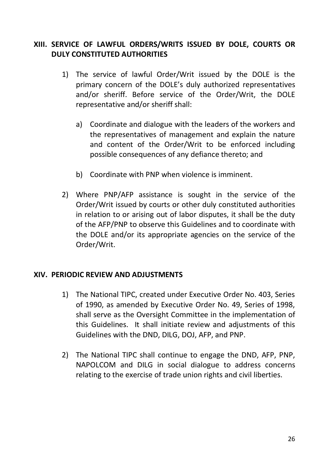### **XIII. SERVICE OF LAWFUL ORDERS/WRITS ISSUED BY DOLE, COURTS OR DULY CONSTITUTED AUTHORITIES**

- 1) The service of lawful Order/Writ issued by the DOLE is the primary concern of the DOLE's duly authorized representatives and/or sheriff. Before service of the Order/Writ, the DOLE representative and/or sheriff shall:
	- a) Coordinate and dialogue with the leaders of the workers and the representatives of management and explain the nature and content of the Order/Writ to be enforced including possible consequences of any defiance thereto; and
	- b) Coordinate with PNP when violence is imminent.
- 2) Where PNP/AFP assistance is sought in the service of the Order/Writ issued by courts or other duly constituted authorities in relation to or arising out of labor disputes, it shall be the duty of the AFP/PNP to observe this Guidelines and to coordinate with the DOLE and/or its appropriate agencies on the service of the Order/Writ.

#### **XIV. PERIODIC REVIEW AND ADJUSTMENTS**

- 1) The National TIPC, created under Executive Order No. 403, Series of 1990, as amended by Executive Order No. 49, Series of 1998, shall serve as the Oversight Committee in the implementation of this Guidelines. It shall initiate review and adjustments of this Guidelines with the DND, DILG, DOJ, AFP, and PNP.
- 2) The National TIPC shall continue to engage the DND, AFP, PNP, NAPOLCOM and DILG in social dialogue to address concerns relating to the exercise of trade union rights and civil liberties.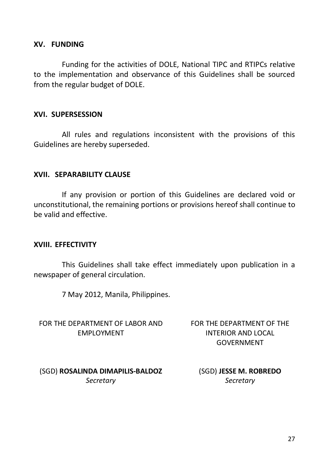#### **XV. FUNDING**

Funding for the activities of DOLE, National TIPC and RTIPCs relative to the implementation and observance of this Guidelines shall be sourced from the regular budget of DOLE.

#### **XVI. SUPERSESSION**

All rules and regulations inconsistent with the provisions of this Guidelines are hereby superseded.

#### **XVII. SEPARABILITY CLAUSE**

If any provision or portion of this Guidelines are declared void or unconstitutional, the remaining portions or provisions hereof shall continue to be valid and effective.

#### **XVIII. EFFECTIVITY**

This Guidelines shall take effect immediately upon publication in a newspaper of general circulation.

7 May 2012, Manila, Philippines.

FOR THE DEPARTMENT OF LABOR AND EMPLOYMENT

FOR THE DEPARTMENT OF THE INTERIOR AND LOCAL GOVERNMENT

(SGD) **ROSALINDA DIMAPILIS-BALDOZ** *Secretary*

(SGD) **JESSE M. ROBREDO** *Secretary*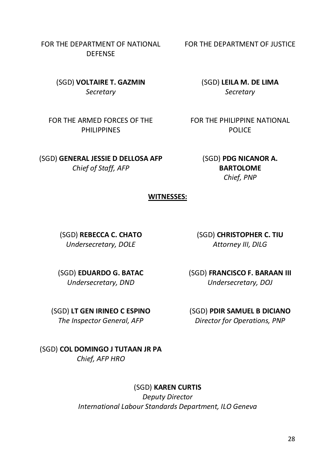FOR THE DEPARTMENT OF NATIONAL **DEFENSE** 

> (SGD) **VOLTAIRE T. GAZMIN** *Secretary*

FOR THE ARMED FORCES OF THE PHILIPPINES

(SGD) **GENERAL JESSIE D DELLOSA AFP**

*Chief of Staff, AFP*

FOR THE DEPARTMENT OF JUSTICE

(SGD) **LEILA M. DE LIMA** *Secretary*

FOR THE PHILIPPINE NATIONAL **POLICE** 

> (SGD) **PDG NICANOR A. BARTOLOME** *Chief, PNP*

#### **WITNESSES:**

(SGD) **REBECCA C. CHATO** *Undersecretary, DOLE*

(SGD) **CHRISTOPHER C. TIU** *Attorney III, DILG*

(SGD) **EDUARDO G. BATAC** *Undersecretary, DND*

(SGD) **FRANCISCO F. BARAAN III** *Undersecretary, DOJ*

(SGD) **LT GEN IRINEO C ESPINO** *The Inspector General, AFP*

(SGD) **PDIR SAMUEL B DICIANO** *Director for Operations, PNP*

(SGD) **COL DOMINGO J TUTAAN JR PA** *Chief, AFP HRO*

#### (SGD) **KAREN CURTIS**

*Deputy Director International Labour Standards Department, ILO Geneva*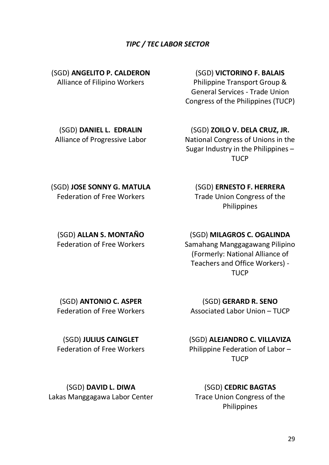#### *TIPC / TEC LABOR SECTOR*

(SGD) **ANGELITO P. CALDERON**  Alliance of Filipino Workers

#### (SGD) **VICTORINO F. BALAIS**

Philippine Transport Group & General Services - Trade Union Congress of the Philippines (TUCP)

(SGD) **DANIEL L. EDRALIN** Alliance of Progressive Labor (SGD) **ZOILO V. DELA CRUZ, JR.**

National Congress of Unions in the Sugar Industry in the Philippines – **TUCP** 

(SGD) **JOSE SONNY G. MATULA** Federation of Free Workers

(SGD) **ALLAN S. MONTAÑO** Federation of Free Workers

# (SGD) **ERNESTO F. HERRERA**

Trade Union Congress of the Philippines

(SGD) **MILAGROS C. OGALINDA**

Samahang Manggagawang Pilipino (Formerly: National Alliance of Teachers and Office Workers) - **TUCP** 

(SGD) **ANTONIO C. ASPER** Federation of Free Workers

(SGD) **GERARD R. SENO** Associated Labor Union – TUCP

(SGD) **JULIUS CAINGLET** Federation of Free Workers (SGD) **ALEJANDRO C. VILLAVIZA**

Philippine Federation of Labor – **TUCP** 

(SGD) **DAVID L. DIWA** Lakas Manggagawa Labor Center

(SGD) **CEDRIC BAGTAS** Trace Union Congress of the Philippines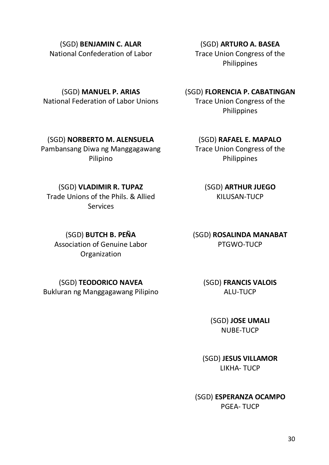(SGD) **BENJAMIN C. ALAR** National Confederation of Labor

(SGD) **ARTURO A. BASEA** Trace Union Congress of the Philippines

(SGD) **MANUEL P. ARIAS** National Federation of Labor Unions

(SGD) **NORBERTO M. ALENSUELA** Pambansang Diwa ng Manggagawang Pilipino

(SGD) **FLORENCIA P. CABATINGAN** Trace Union Congress of the Philippines

(SGD) **RAFAEL E. MAPALO** Trace Union Congress of the Philippines

> (SGD) **ARTHUR JUEGO** KILUSAN-TUCP

(SGD) **ROSALINDA MANABAT** PTGWO-TUCP

> (SGD) **FRANCIS VALOIS** ALU-TUCP

(SGD) **JOSE UMALI** NUBE-TUCP

(SGD) **JESUS VILLAMOR** LIKHA- TUCP

(SGD) **ESPERANZA OCAMPO** PGEA- TUCP

(SGD) **BUTCH B. PEÑA** Association of Genuine Labor **Organization** 

(SGD) **TEODORICO NAVEA** Bukluran ng Manggagawang Pilipino

(SGD) **VLADIMIR R. TUPAZ** Trade Unions of the Phils. & Allied Services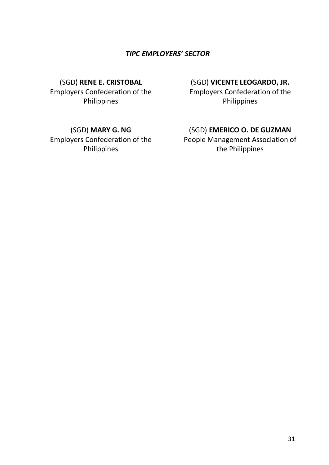#### *TIPC EMPLOYERS' SECTOR*

(SGD) **RENE E. CRISTOBAL** Employers Confederation of the Philippines

(SGD) **MARY G. NG** Employers Confederation of the Philippines

#### (SGD) **VICENTE LEOGARDO, JR.**

Employers Confederation of the Philippines

#### (SGD) **EMERICO O. DE GUZMAN**

People Management Association of the Philippines